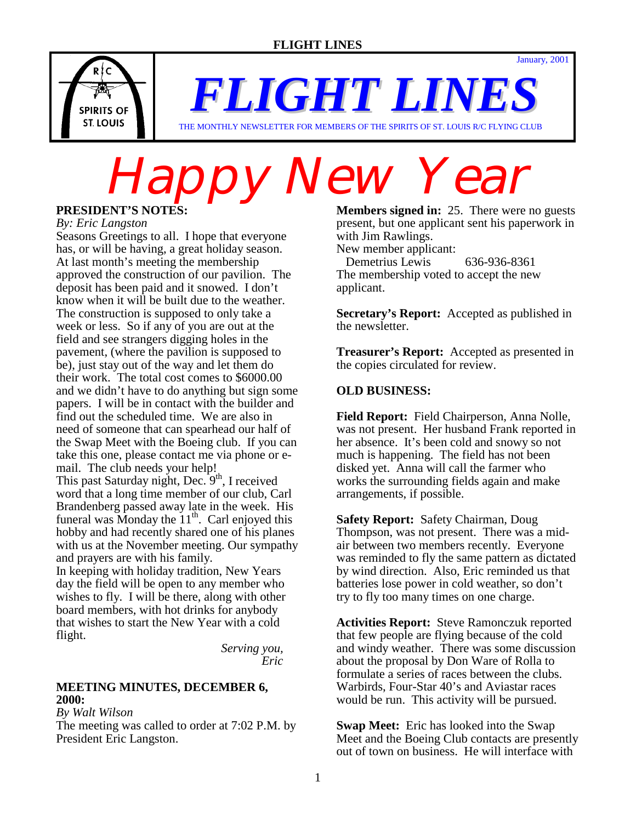January, 2001



*FLIGHT LINES* THE MONTHLY NEWSLETTER FOR MEMBERS OF THE SPIRITS OF ST. LOUIS R/C FLYING CLUB

**Happy New Year** 

*By: Eric Langston*

Seasons Greetings to all. I hope that everyone has, or will be having, a great holiday season. At last month's meeting the membership approved the construction of our pavilion. The deposit has been paid and it snowed. I don't know when it will be built due to the weather. The construction is supposed to only take a week or less. So if any of you are out at the field and see strangers digging holes in the pavement, (where the pavilion is supposed to be), just stay out of the way and let them do their work. The total cost comes to \$6000.00 and we didn't have to do anything but sign some papers. I will be in contact with the builder and find out the scheduled time. We are also in need of someone that can spearhead our half of the Swap Meet with the Boeing club. If you can take this one, please contact me via phone or email. The club needs your help! This past Saturday night, Dec.  $9<sup>th</sup>$ , I received word that a long time member of our club, Carl Brandenberg passed away late in the week. His funeral was Monday the  $11<sup>th</sup>$ . Carl enjoyed this hobby and had recently shared one of his planes with us at the November meeting. Our sympathy and prayers are with his family.

In keeping with holiday tradition, New Years day the field will be open to any member who wishes to fly. I will be there, along with other board members, with hot drinks for anybody that wishes to start the New Year with a cold flight.

 *Serving you, Eric*

### **MEETING MINUTES, DECEMBER 6, 2000:**

*By Walt Wilson*

The meeting was called to order at 7:02 P.M. by President Eric Langston.

**Members signed in:** 25. There were no guests present, but one applicant sent his paperwork in with Jim Rawlings.

New member applicant:

 Demetrius Lewis 636-936-8361 The membership voted to accept the new applicant.

**Secretary's Report:** Accepted as published in the newsletter.

**Treasurer's Report:** Accepted as presented in the copies circulated for review.

# **OLD BUSINESS:**

**Field Report:** Field Chairperson, Anna Nolle, was not present. Her husband Frank reported in her absence. It's been cold and snowy so not much is happening. The field has not been disked yet. Anna will call the farmer who works the surrounding fields again and make arrangements, if possible.

**Safety Report:** Safety Chairman, Doug Thompson, was not present. There was a midair between two members recently. Everyone was reminded to fly the same pattern as dictated by wind direction. Also, Eric reminded us that batteries lose power in cold weather, so don't try to fly too many times on one charge.

**Activities Report:** Steve Ramonczuk reported that few people are flying because of the cold and windy weather. There was some discussion about the proposal by Don Ware of Rolla to formulate a series of races between the clubs. Warbirds, Four-Star 40's and Aviastar races would be run. This activity will be pursued.

**Swap Meet:** Eric has looked into the Swap Meet and the Boeing Club contacts are presently out of town on business. He will interface with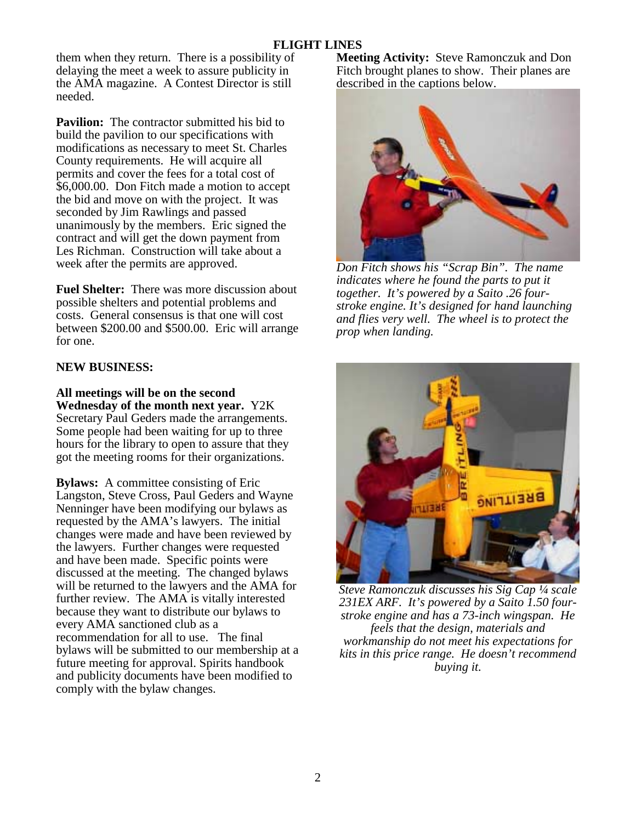# **FLIGHT LINES**

them when they return. There is a possibility of delaying the meet a week to assure publicity in the AMA magazine. A Contest Director is still needed.

**Pavilion:** The contractor submitted his bid to build the pavilion to our specifications with modifications as necessary to meet St. Charles County requirements. He will acquire all permits and cover the fees for a total cost of \$6,000.00. Don Fitch made a motion to accept the bid and move on with the project. It was seconded by Jim Rawlings and passed unanimously by the members. Eric signed the contract and will get the down payment from Les Richman. Construction will take about a week after the permits are approved.

**Fuel Shelter:** There was more discussion about possible shelters and potential problems and costs. General consensus is that one will cost between \$200.00 and \$500.00. Eric will arrange for one.

# **NEW BUSINESS:**

**All meetings will be on the second Wednesday of the month next year.** Y2K Secretary Paul Geders made the arrangements. Some people had been waiting for up to three hours for the library to open to assure that they

got the meeting rooms for their organizations.

**Bylaws:** A committee consisting of Eric Langston, Steve Cross, Paul Geders and Wayne Nenninger have been modifying our bylaws as requested by the AMA's lawyers. The initial changes were made and have been reviewed by the lawyers. Further changes were requested and have been made. Specific points were discussed at the meeting. The changed bylaws will be returned to the lawyers and the AMA for further review. The AMA is vitally interested because they want to distribute our bylaws to every AMA sanctioned club as a recommendation for all to use. The final bylaws will be submitted to our membership at a future meeting for approval. Spirits handbook and publicity documents have been modified to comply with the bylaw changes.

**Meeting Activity:** Steve Ramonczuk and Don Fitch brought planes to show. Their planes are described in the captions below.



*Don Fitch shows his "Scrap Bin". The name indicates where he found the parts to put it together. It's powered by a Saito .26 fourstroke engine. It's designed for hand launching and flies very well. The wheel is to protect the prop when landing.* 



*Steve Ramonczuk discusses his Sig Cap ¼ scale 231EX ARF. It's powered by a Saito 1.50 fourstroke engine and has a 73-inch wingspan. He feels that the design, materials and workmanship do not meet his expectations for kits in this price range. He doesn't recommend buying it.*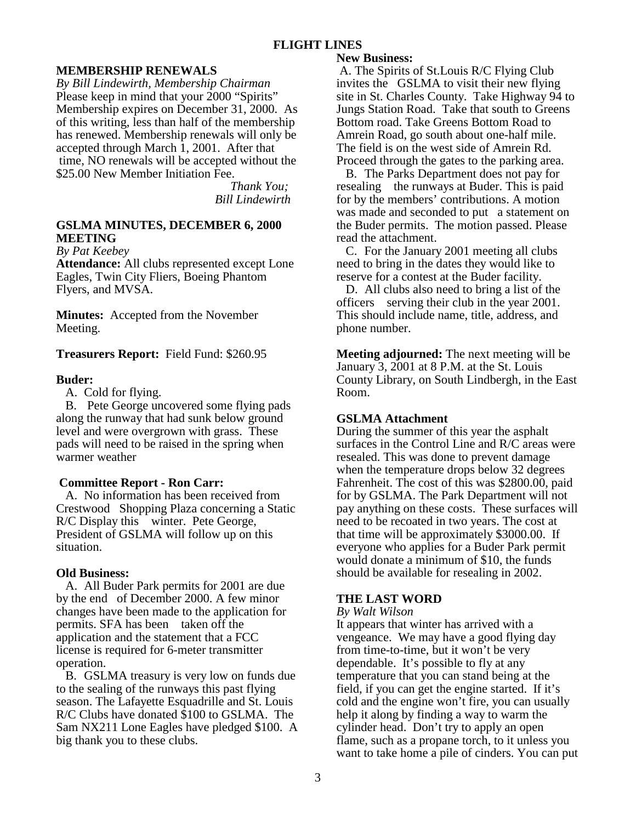# **FLIGHT LINES**

#### **MEMBERSHIP RENEWALS**

*By Bill Lindewirth, Membership Chairman* Please keep in mind that your 2000 "Spirits" Membership expires on December 31, 2000. As of this writing, less than half of the membership has renewed. Membership renewals will only be accepted through March 1, 2001. After that time, NO renewals will be accepted without the \$25.00 New Member Initiation Fee.

> *Thank You; Bill Lindewirth*

#### **GSLMA MINUTES, DECEMBER 6, 2000 MEETING**

*By Pat Keebey*

**Attendance:** All clubs represented except Lone Eagles, Twin City Fliers, Boeing Phantom Flyers, and MVSA.

**Minutes:** Accepted from the November Meeting.

#### **Treasurers Report:** Field Fund: \$260.95

#### **Buder:**

A. Cold for flying.

 B. Pete George uncovered some flying pads along the runway that had sunk below ground level and were overgrown with grass. These pads will need to be raised in the spring when warmer weather

#### **Committee Report - Ron Carr:**

 A. No information has been received from Crestwood Shopping Plaza concerning a Static R/C Display this winter. Pete George, President of GSLMA will follow up on this situation.

#### **Old Business:**

 A. All Buder Park permits for 2001 are due by the end of December 2000. A few minor changes have been made to the application for permits. SFA has been taken off the application and the statement that a FCC license is required for 6-meter transmitter operation.

 B. GSLMA treasury is very low on funds due to the sealing of the runways this past flying season. The Lafayette Esquadrille and St. Louis R/C Clubs have donated \$100 to GSLMA. The Sam NX211 Lone Eagles have pledged \$100. A big thank you to these clubs.

#### **New Business:**

 A. The Spirits of St.Louis R/C Flying Club invites the GSLMA to visit their new flying site in St. Charles County. Take Highway 94 to Jungs Station Road. Take that south to Greens Bottom road. Take Greens Bottom Road to Amrein Road, go south about one-half mile. The field is on the west side of Amrein Rd. Proceed through the gates to the parking area.

 B. The Parks Department does not pay for resealing the runways at Buder. This is paid for by the members' contributions. A motion was made and seconded to put a statement on the Buder permits. The motion passed. Please read the attachment.

 C. For the January 2001 meeting all clubs need to bring in the dates they would like to reserve for a contest at the Buder facility.

 D. All clubs also need to bring a list of the officers serving their club in the year 2001. This should include name, title, address, and phone number.

**Meeting adjourned:** The next meeting will be January 3, 2001 at 8 P.M. at the St. Louis County Library, on South Lindbergh, in the East Room.

#### **GSLMA Attachment**

During the summer of this year the asphalt surfaces in the Control Line and R/C areas were resealed. This was done to prevent damage when the temperature drops below 32 degrees Fahrenheit. The cost of this was \$2800.00, paid for by GSLMA. The Park Department will not pay anything on these costs. These surfaces will need to be recoated in two years. The cost at that time will be approximately \$3000.00. If everyone who applies for a Buder Park permit would donate a minimum of \$10, the funds should be available for resealing in 2002.

#### **THE LAST WORD**

#### *By Walt Wilson*

It appears that winter has arrived with a vengeance. We may have a good flying day from time-to-time, but it won't be very dependable. It's possible to fly at any temperature that you can stand being at the field, if you can get the engine started. If it's cold and the engine won't fire, you can usually help it along by finding a way to warm the cylinder head. Don't try to apply an open flame, such as a propane torch, to it unless you want to take home a pile of cinders. You can put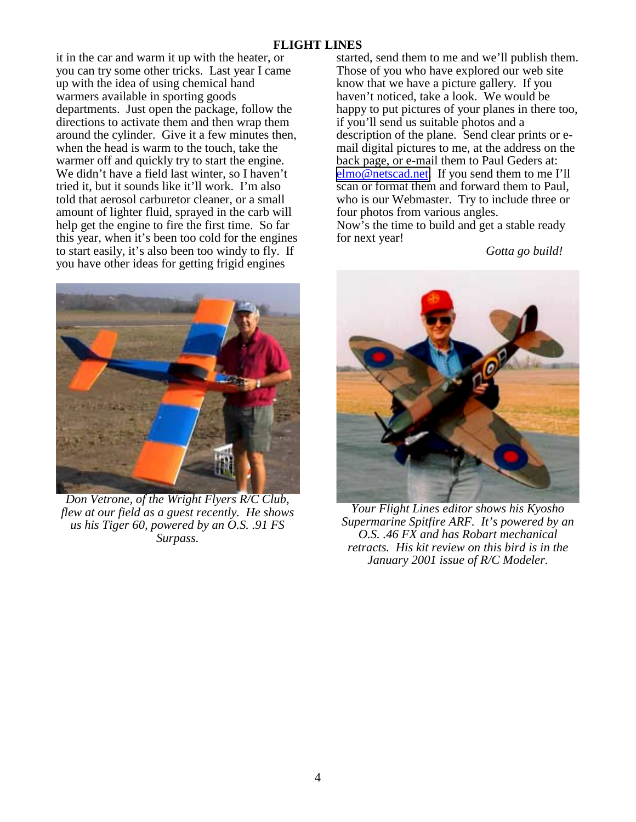## **FLIGHT LINES**

it in the car and warm it up with the heater, or you can try some other tricks. Last year I came up with the idea of using chemical hand warmers available in sporting goods departments. Just open the package, follow the directions to activate them and then wrap them around the cylinder. Give it a few minutes then, when the head is warm to the touch, take the warmer off and quickly try to start the engine. We didn't have a field last winter, so I haven't tried it, but it sounds like it'll work. I'm also told that aerosol carburetor cleaner, or a small amount of lighter fluid, sprayed in the carb will help get the engine to fire the first time. So far this year, when it's been too cold for the engines to start easily, it's also been too windy to fly. If you have other ideas for getting frigid engines



*Don Vetrone, of the Wright Flyers R/C Club, flew at our field as a guest recently. He shows us his Tiger 60, powered by an O.S. .91 FS Surpass.* 

started, send them to me and we'll publish them. Those of you who have explored our web site know that we have a picture gallery. If you haven't noticed, take a look. We would be happy to put pictures of your planes in there too, if you'll send us suitable photos and a description of the plane. Send clear prints or email digital pictures to me, at the address on the back page, or e-mail them to Paul Geders at: [elmo@netscad.net.](mailto:elmo@netscad.net) If you send them to me I'll scan or format them and forward them to Paul, who is our Webmaster. Try to include three or four photos from various angles.

Now's the time to build and get a stable ready for next year!

*Gotta go build!*



*Your Flight Lines editor shows his Kyosho Supermarine Spitfire ARF. It's powered by an O.S. .46 FX and has Robart mechanical retracts. His kit review on this bird is in the January 2001 issue of R/C Modeler.*